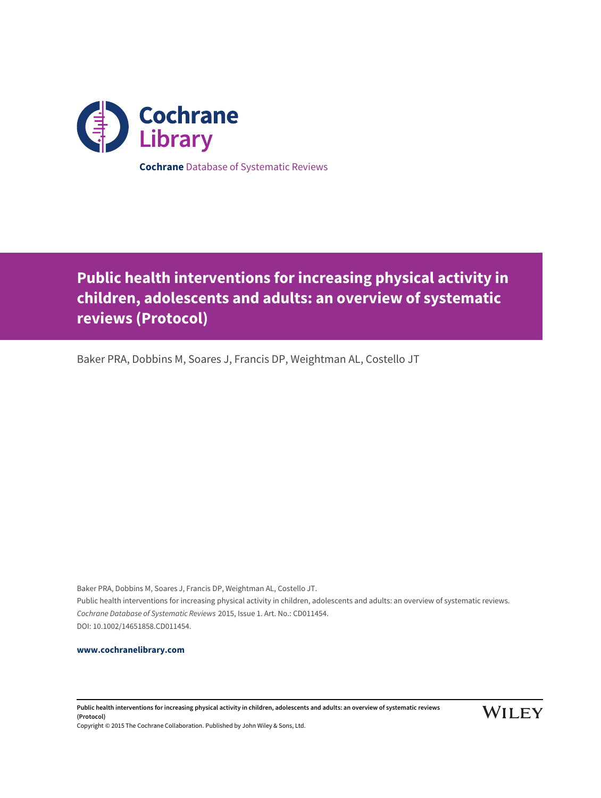

**Public health interventions for increasing physical activity in**

**children, adolescents and adults: an overview of systematic reviews (Protocol)**

Baker PRA, Dobbins M, Soares J, Francis DP, Weightman AL, Costello JT

Baker PRA, Dobbins M, Soares J, Francis DP, Weightman AL, Costello JT. Public health interventions for increasing physical activity in children, adolescents and adults: an overview of systematic reviews. Cochrane Database of Systematic Reviews 2015, Issue 1. Art. No.: CD011454. DOI: 10.1002/14651858.CD011454.

**[www.cochranelibrary.com](http://www.cochranelibrary.com)**

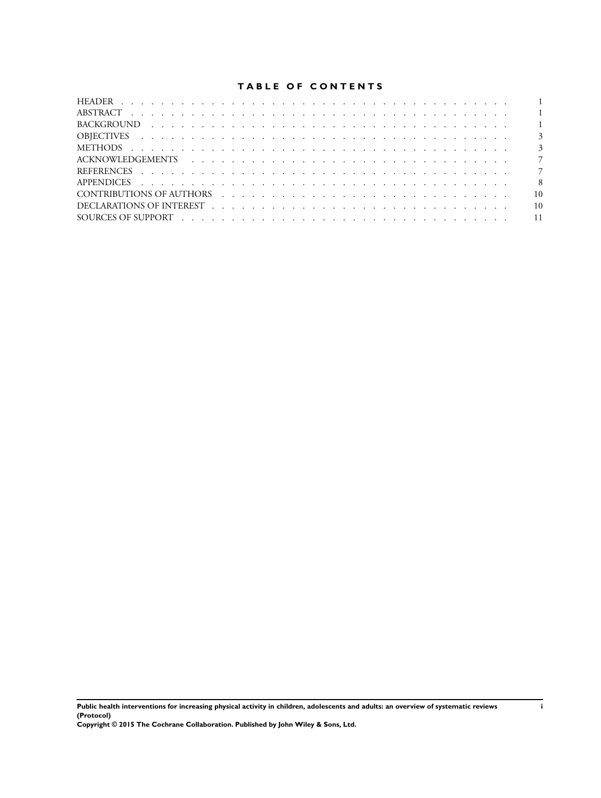# **TABLE OF CONTENTS**

|                                          | $\overline{8}$  |  |
|------------------------------------------|-----------------|--|
| CONTRIBUTIONS OF AUTHORS (CONTRIBUTIONS) | $\overline{10}$ |  |
|                                          |                 |  |
|                                          |                 |  |
|                                          |                 |  |

**Public health interventions for increasing physical activity in children, adolescents and adults: an overview of systematic reviews i (Protocol)**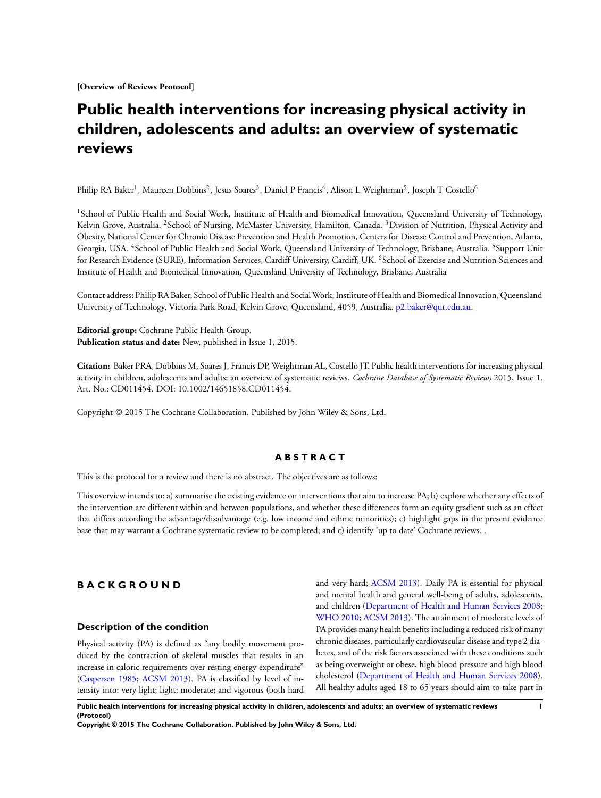<span id="page-2-0"></span>**[Overview of Reviews Protocol]**

# **Public health interventions for increasing physical activity in children, adolescents and adults: an overview of systematic reviews**

Philip RA Baker<sup>1</sup>, Maureen Dobbins<sup>2</sup>, Jesus Soares<sup>3</sup>, Daniel P Francis<sup>4</sup>, Alison L Weightman<sup>5</sup>, Joseph T Costello<sup>6</sup>

<sup>1</sup>School of Public Health and Social Work, Instiitute of Health and Biomedical Innovation, Queensland University of Technology, Kelvin Grove, Australia. <sup>2</sup>School of Nursing, McMaster University, Hamilton, Canada. <sup>3</sup>Division of Nutrition, Physical Activity and Obesity, National Center for Chronic Disease Prevention and Health Promotion, Centers for Disease Control and Prevention, Atlanta, Georgia, USA. <sup>4</sup>School of Public Health and Social Work, Queensland University of Technology, Brisbane, Australia. <sup>5</sup>Support Unit for Research Evidence (SURE), Information Services, Cardiff University, Cardiff, UK. <sup>6</sup>School of Exercise and Nutrition Sciences and Institute of Health and Biomedical Innovation, Queensland University of Technology, Brisbane, Australia

Contact address: Philip RA Baker, School of Public Health and SocialWork, Instiitute of Health and Biomedical Innovation, Queensland University of Technology, Victoria Park Road, Kelvin Grove, Queensland, 4059, Australia. [p2.baker@qut.edu.au.](mailto:p2.baker@qut.edu.au)

**Editorial group:** Cochrane Public Health Group. **Publication status and date:** New, published in Issue 1, 2015.

**Citation:** Baker PRA, Dobbins M, Soares J, Francis DP, Weightman AL, Costello JT. Public health interventions for increasing physical activity in children, adolescents and adults: an overview of systematic reviews. *Cochrane Database of Systematic Reviews* 2015, Issue 1. Art. No.: CD011454. DOI: 10.1002/14651858.CD011454.

Copyright © 2015 The Cochrane Collaboration. Published by John Wiley & Sons, Ltd.

## **A B S T R A C T**

This is the protocol for a review and there is no abstract. The objectives are as follows:

This overview intends to: a) summarise the existing evidence on interventions that aim to increase PA; b) explore whether any effects of the intervention are different within and between populations, and whether these differences form an equity gradient such as an effect that differs according the advantage/disadvantage (e.g. low income and ethnic minorities); c) highlight gaps in the present evidence base that may warrant a Cochrane systematic review to be completed; and c) identify 'up to date' Cochrane reviews. .

# **B A C K G R O U N D**

## **Description of the condition**

Physical activity (PA) is defined as "any bodily movement produced by the contraction of skeletal muscles that results in an increase in caloric requirements over resting energy expenditure" [\(Caspersen 1985](#page-8-0); [ACSM 2013\)](#page-8-0). PA is classified by level of intensity into: very light; light; moderate; and vigorous (both hard and very hard; [ACSM 2013](#page-8-0)). Daily PA is essential for physical and mental health and general well-being of adults, adolescents, and children [\(Department of Health and Human Services 2008;](#page-8-0) [WHO 2010](#page-8-0); [ACSM 2013\)](#page-8-0). The attainment of moderate levels of PA provides many health benefits including a reduced risk of many chronic diseases, particularly cardiovascular disease and type 2 diabetes, and of the risk factors associated with these conditions such as being overweight or obese, high blood pressure and high blood cholesterol [\(Department of Health and Human Services 2008](#page-8-0)). All healthy adults aged 18 to 65 years should aim to take part in

**Public health interventions for increasing physical activity in children, adolescents and adults: an overview of systematic reviews 1 (Protocol)**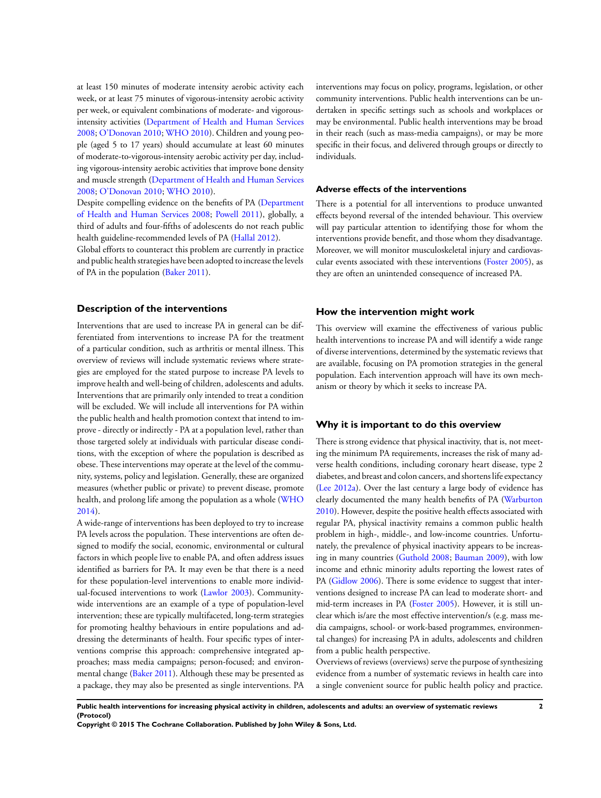at least 150 minutes of moderate intensity aerobic activity each week, or at least 75 minutes of vigorous-intensity aerobic activity per week, or equivalent combinations of moderate- and vigorousintensity activities [\(Department of Health and Human Services](#page-8-0) [2008](#page-8-0); [O'Donovan 2010](#page-8-0); [WHO 2010](#page-8-0)). Children and young people (aged 5 to 17 years) should accumulate at least 60 minutes of moderate-to-vigorous-intensity aerobic activity per day, including vigorous-intensity aerobic activities that improve bone density and muscle strength [\(Department of Health and Human Services](#page-8-0) [2008](#page-8-0); [O'Donovan 2010;](#page-8-0) [WHO 2010](#page-8-0)).

Despite compelling evidence on the benefits of PA [\(Department](#page-8-0) [of Health and Human Services 2008](#page-8-0); [Powell 2011](#page-8-0)), globally, a third of adults and four-fifths of adolescents do not reach public health guideline-recommended levels of PA ([Hallal 2012](#page-8-0)).

Global efforts to counteract this problem are currently in practice and public health strategies have been adopted to increase the levels of PA in the population ([Baker 2011\)](#page-8-0).

## **Description of the interventions**

Interventions that are used to increase PA in general can be differentiated from interventions to increase PA for the treatment of a particular condition, such as arthritis or mental illness. This overview of reviews will include systematic reviews where strategies are employed for the stated purpose to increase PA levels to improve health and well-being of children, adolescents and adults. Interventions that are primarily only intended to treat a condition will be excluded. We will include all interventions for PA within the public health and health promotion context that intend to improve - directly or indirectly - PA at a population level, rather than those targeted solely at individuals with particular disease conditions, with the exception of where the population is described as obese. These interventions may operate at the level of the community, systems, policy and legislation. Generally, these are organized measures (whether public or private) to prevent disease, promote health, and prolong life among the population as a whole [\(WHO](#page-8-0) [2014](#page-8-0)).

A wide-range of interventions has been deployed to try to increase PA levels across the population. These interventions are often designed to modify the social, economic, environmental or cultural factors in which people live to enable PA, and often address issues identified as barriers for PA. It may even be that there is a need for these population-level interventions to enable more individual-focused interventions to work ([Lawlor 2003\)](#page-8-0). Communitywide interventions are an example of a type of population-level intervention; these are typically multifaceted, long-term strategies for promoting healthy behaviours in entire populations and addressing the determinants of health. Four specific types of interventions comprise this approach: comprehensive integrated approaches; mass media campaigns; person-focused; and environmental change [\(Baker 2011](#page-8-0)). Although these may be presented as a package, they may also be presented as single interventions. PA

interventions may focus on policy, programs, legislation, or other community interventions. Public health interventions can be undertaken in specific settings such as schools and workplaces or may be environmental. Public health interventions may be broad in their reach (such as mass-media campaigns), or may be more specific in their focus, and delivered through groups or directly to individuals.

## **Adverse effects of the interventions**

There is a potential for all interventions to produce unwanted effects beyond reversal of the intended behaviour. This overview will pay particular attention to identifying those for whom the interventions provide benefit, and those whom they disadvantage. Moreover, we will monitor musculoskeletal injury and cardiovascular events associated with these interventions [\(Foster 2005](#page-8-0)), as they are often an unintended consequence of increased PA.

## **How the intervention might work**

This overview will examine the effectiveness of various public health interventions to increase PA and will identify a wide range of diverse interventions, determined by the systematic reviews that are available, focusing on PA promotion strategies in the general population. Each intervention approach will have its own mechanism or theory by which it seeks to increase PA.

## **Why it is important to do this overview**

There is strong evidence that physical inactivity, that is, not meeting the minimum PA requirements, increases the risk of many adverse health conditions, including coronary heart disease, type 2 diabetes, and breast and colon cancers, and shortens life expectancy [\(Lee 2012a\)](#page-8-0). Over the last century a large body of evidence has clearly documented the many health benefits of PA ([Warburton](#page-8-0) [2010](#page-8-0)). However, despite the positive health effects associated with regular PA, physical inactivity remains a common public health problem in high-, middle-, and low-income countries. Unfortunately, the prevalence of physical inactivity appears to be increasing in many countries [\(Guthold 2008;](#page-8-0) [Bauman 2009](#page-8-0)), with low income and ethnic minority adults reporting the lowest rates of PA ([Gidlow 2006](#page-8-0)). There is some evidence to suggest that interventions designed to increase PA can lead to moderate short- and mid-term increases in PA [\(Foster 2005](#page-8-0)). However, it is still unclear which is/are the most effective intervention/s (e.g. mass media campaigns, school- or work-based programmes, environmental changes) for increasing PA in adults, adolescents and children from a public health perspective.

Overviews of reviews (overviews) serve the purpose of synthesizing evidence from a number of systematic reviews in health care into a single convenient source for public health policy and practice.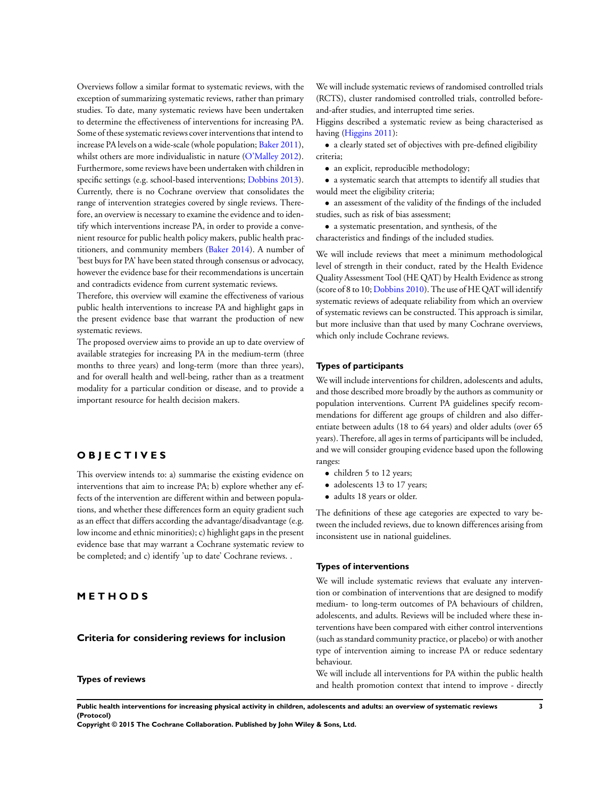Overviews follow a similar format to systematic reviews, with the exception of summarizing systematic reviews, rather than primary studies. To date, many systematic reviews have been undertaken to determine the effectiveness of interventions for increasing PA. Some of these systematic reviews cover interventions that intend to increase PA levels on a wide-scale (whole population; [Baker 2011](#page-8-0)), whilst others are more individualistic in nature ([O'Malley 2012](#page-8-0)). Furthermore, some reviews have been undertaken with children in specific settings (e.g. school-based interventions; [Dobbins 2013](#page-8-0)). Currently, there is no Cochrane overview that consolidates the range of intervention strategies covered by single reviews. Therefore, an overview is necessary to examine the evidence and to identify which interventions increase PA, in order to provide a convenient resource for public health policy makers, public health practitioners, and community members ([Baker 2014](#page-8-0)). A number of 'best buys for PA' have been stated through consensus or advocacy, however the evidence base for their recommendations is uncertain and contradicts evidence from current systematic reviews.

Therefore, this overview will examine the effectiveness of various public health interventions to increase PA and highlight gaps in the present evidence base that warrant the production of new systematic reviews.

The proposed overview aims to provide an up to date overview of available strategies for increasing PA in the medium-term (three months to three years) and long-term (more than three years), and for overall health and well-being, rather than as a treatment modality for a particular condition or disease, and to provide a important resource for health decision makers.

# **O B J E C T I V E S**

This overview intends to: a) summarise the existing evidence on interventions that aim to increase PA; b) explore whether any effects of the intervention are different within and between populations, and whether these differences form an equity gradient such as an effect that differs according the advantage/disadvantage (e.g. low income and ethnic minorities); c) highlight gaps in the present evidence base that may warrant a Cochrane systematic review to be completed; and c) identify 'up to date' Cochrane reviews. .

# **M E T H O D S**

## **Criteria for considering reviews for inclusion**

**Types of reviews**

We will include systematic reviews of randomised controlled trials (RCTS), cluster randomised controlled trials, controlled beforeand-after studies, and interrupted time series.

Higgins described a systematic review as being characterised as having ([Higgins 2011](#page-8-0)):

• a clearly stated set of objectives with pre-defined eligibility criteria;

• an explicit, reproducible methodology;

• a systematic search that attempts to identify all studies that would meet the eligibility criteria;

• an assessment of the validity of the findings of the included studies, such as risk of bias assessment;

• a systematic presentation, and synthesis, of the

characteristics and findings of the included studies.

We will include reviews that meet a minimum methodological level of strength in their conduct, rated by the Health Evidence Quality Assessment Tool (HE QAT) by Health Evidence as strong (score of 8 to 10; [Dobbins 2010](#page-8-0)). The use of HE QAT will identify systematic reviews of adequate reliability from which an overview of systematic reviews can be constructed. This approach is similar, but more inclusive than that used by many Cochrane overviews, which only include Cochrane reviews.

## **Types of participants**

We will include interventions for children, adolescents and adults, and those described more broadly by the authors as community or population interventions. Current PA guidelines specify recommendations for different age groups of children and also differentiate between adults (18 to 64 years) and older adults (over 65 years). Therefore, all ages in terms of participants will be included, and we will consider grouping evidence based upon the following ranges:

- children 5 to 12 years;
- adolescents 13 to 17 years;
- adults 18 years or older.

The definitions of these age categories are expected to vary between the included reviews, due to known differences arising from inconsistent use in national guidelines.

## **Types of interventions**

We will include systematic reviews that evaluate any intervention or combination of interventions that are designed to modify medium- to long-term outcomes of PA behaviours of children, adolescents, and adults. Reviews will be included where these interventions have been compared with either control interventions (such as standard community practice, or placebo) or with another type of intervention aiming to increase PA or reduce sedentary behaviour.

We will include all interventions for PA within the public health and health promotion context that intend to improve - directly

**Public health interventions for increasing physical activity in children, adolescents and adults: an overview of systematic reviews 3 (Protocol)**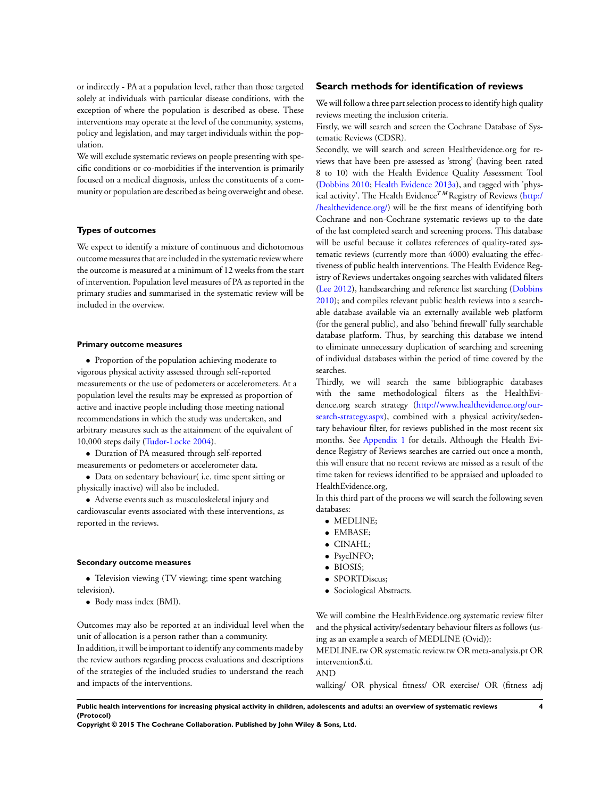or indirectly - PA at a population level, rather than those targeted solely at individuals with particular disease conditions, with the exception of where the population is described as obese. These interventions may operate at the level of the community, systems, policy and legislation, and may target individuals within the population.

We will exclude systematic reviews on people presenting with specific conditions or co-morbidities if the intervention is primarily focused on a medical diagnosis, unless the constituents of a community or population are described as being overweight and obese.

## **Types of outcomes**

We expect to identify a mixture of continuous and dichotomous outcome measures that are included in the systematic review where the outcome is measured at a minimum of 12 weeks from the start of intervention. Population level measures of PA as reported in the primary studies and summarised in the systematic review will be included in the overview.

#### **Primary outcome measures**

• Proportion of the population achieving moderate to vigorous physical activity assessed through self-reported measurements or the use of pedometers or accelerometers. At a population level the results may be expressed as proportion of active and inactive people including those meeting national recommendations in which the study was undertaken, and arbitrary measures such as the attainment of the equivalent of 10,000 steps daily [\(Tudor-Locke 2004](#page-8-0)).

• Duration of PA measured through self-reported measurements or pedometers or accelerometer data.

• Data on sedentary behaviour( i.e. time spent sitting or physically inactive) will also be included.

• Adverse events such as musculoskeletal injury and cardiovascular events associated with these interventions, as reported in the reviews.

## **Secondary outcome measures**

• Television viewing (TV viewing; time spent watching television).

• Body mass index (BMI).

Outcomes may also be reported at an individual level when the unit of allocation is a person rather than a community.

In addition, it will be important to identify any comments made by the review authors regarding process evaluations and descriptions of the strategies of the included studies to understand the reach and impacts of the interventions.

## **Search methods for identification of reviews**

We will follow a three part selection process to identify high quality reviews meeting the inclusion criteria.

Firstly, we will search and screen the Cochrane Database of Systematic Reviews (CDSR).

Secondly, we will search and screen Healthevidence.org for reviews that have been pre-assessed as 'strong' (having been rated 8 to 10) with the Health Evidence Quality Assessment Tool [\(Dobbins 2010](#page-8-0); [Health Evidence 2013a](#page-8-0)), and tagged with 'phys-ical activity'. The Health Evidence<sup>TM</sup> Registry of Reviews [\(http:/](http://healthevidence.org/) [/healthevidence.org/](http://healthevidence.org/)) will be the first means of identifying both Cochrane and non-Cochrane systematic reviews up to the date of the last completed search and screening process. This database will be useful because it collates references of quality-rated systematic reviews (currently more than 4000) evaluating the effectiveness of public health interventions. The Health Evidence Registry of Reviews undertakes ongoing searches with validated filters [\(Lee 2012\)](#page-8-0), handsearching and reference list searching ([Dobbins](#page-8-0) [2010](#page-8-0)); and compiles relevant public health reviews into a searchable database available via an externally available web platform (for the general public), and also 'behind firewall' fully searchable database platform. Thus, by searching this database we intend to eliminate unnecessary duplication of searching and screening of individual databases within the period of time covered by the searches.

Thirdly, we will search the same bibliographic databases with the same methodological filters as the HealthEvidence.org search strategy ([http://www.healthevidence.org/our](http://www.healthevidence.org/our-search-strategy.aspx)[search-strategy.aspx\)](http://www.healthevidence.org/our-search-strategy.aspx), combined with a physical activity/sedentary behaviour filter, for reviews published in the most recent six months. See [Appendix 1](#page-9-0) for details. Although the Health Evidence Registry of Reviews searches are carried out once a month, this will ensure that no recent reviews are missed as a result of the time taken for reviews identified to be appraised and uploaded to HealthEvidence.org,

In this third part of the process we will search the following seven databases:

- MEDLINE;
- EMBASE;
- CINAHL;
- PsycINFO;
- BIOSIS;
- SPORTDiscus;
- Sociological Abstracts.

We will combine the HealthEvidence.org systematic review filter and the physical activity/sedentary behaviour filters as follows (using as an example a search of MEDLINE (Ovid)):

MEDLINE.tw OR systematic review.tw OR meta-analysis.pt OR intervention\$.ti.

AND

walking/ OR physical fitness/ OR exercise/ OR (fitness adj

**Public health interventions for increasing physical activity in children, adolescents and adults: an overview of systematic reviews 4 (Protocol)**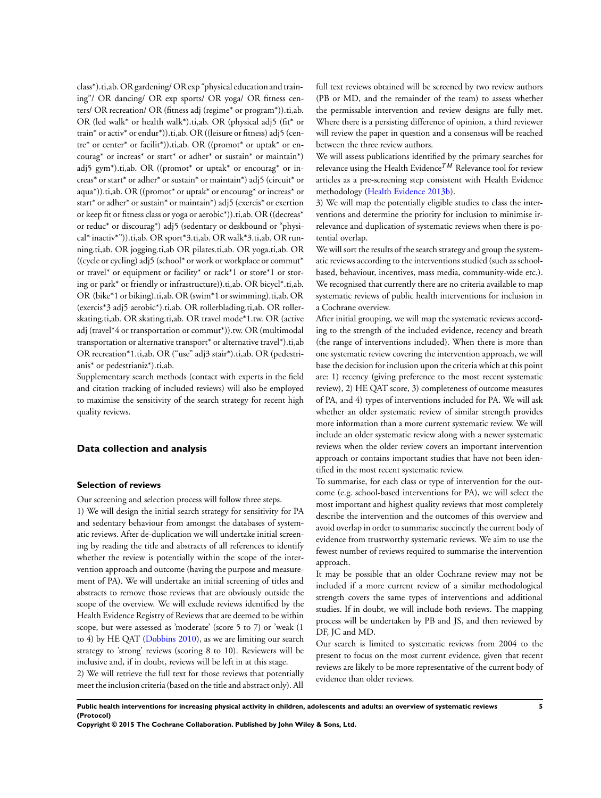class\*).ti,ab. OR gardening/ OR exp "physical education and training"/ OR dancing/ OR exp sports/ OR yoga/ OR fitness centers/ OR recreation/ OR (fitness adj (regime\* or program\*)).ti,ab. OR (led walk\* or health walk\*).ti,ab. OR (physical adj5 (fit\* or train\* or activ\* or endur\*)).ti,ab. OR ((leisure or fitness) adj5 (centre\* or center\* or facilit\*)).ti,ab. OR ((promot\* or uptak\* or encourag\* or increas\* or start\* or adher\* or sustain\* or maintain\*) adj5 gym\*).ti,ab. OR ((promot\* or uptak\* or encourag\* or increas\* or start\* or adher\* or sustain\* or maintain\*) adj5 (circuit\* or aqua\*)).ti,ab. OR ((promot\* or uptak\* or encourag\* or increas\* or start\* or adher\* or sustain\* or maintain\*) adj5 (exercis\* or exertion or keep fit or fitness class or yoga or aerobic\*)).ti,ab. OR ((decreas\* or reduc\* or discourag\*) adj5 (sedentary or deskbound or "physical\* inactiv\*")).ti,ab. OR sport\*3.ti,ab. OR walk\*3.ti,ab. OR running.ti,ab. OR jogging.ti,ab OR pilates.ti,ab. OR yoga.ti,ab. OR ((cycle or cycling) adj5 (school\* or work or workplace or commut\* or travel\* or equipment or facility\* or rack\*1 or store\*1 or storing or park\* or friendly or infrastructure)).ti,ab. OR bicycl\*.ti,ab. OR (bike\*1 or biking).ti,ab. OR (swim\*1 or swimming).ti,ab. OR (exercis\*3 adj5 aerobic\*).ti,ab. OR rollerblading.ti,ab. OR rollerskating.ti,ab. OR skating.ti,ab. OR travel mode\*1.tw. OR (active adj (travel\*4 or transportation or commut\*)).tw. OR (multimodal transportation or alternative transport\* or alternative travel\*).ti,ab OR recreation\*1.ti,ab. OR ("use" adj3 stair\*).ti,ab. OR (pedestrianis\* or pedestrianiz\*).ti,ab.

Supplementary search methods (contact with experts in the field and citation tracking of included reviews) will also be employed to maximise the sensitivity of the search strategy for recent high quality reviews.

#### **Data collection and analysis**

#### **Selection of reviews**

Our screening and selection process will follow three steps.

1) We will design the initial search strategy for sensitivity for PA and sedentary behaviour from amongst the databases of systematic reviews. After de-duplication we will undertake initial screening by reading the title and abstracts of all references to identify whether the review is potentially within the scope of the intervention approach and outcome (having the purpose and measurement of PA). We will undertake an initial screening of titles and abstracts to remove those reviews that are obviously outside the scope of the overview. We will exclude reviews identified by the Health Evidence Registry of Reviews that are deemed to be within scope, but were assessed as 'moderate' (score 5 to 7) or 'weak (1 to 4) by HE QAT [\(Dobbins 2010\)](#page-8-0), as we are limiting our search strategy to 'strong' reviews (scoring 8 to 10). Reviewers will be inclusive and, if in doubt, reviews will be left in at this stage.

2) We will retrieve the full text for those reviews that potentially meet the inclusion criteria (based on the title and abstract only). All

full text reviews obtained will be screened by two review authors (PB or MD, and the remainder of the team) to assess whether the permissable intervention and review designs are fully met. Where there is a persisting difference of opinion, a third reviewer will review the paper in question and a consensus will be reached between the three review authors.

We will assess publications identified by the primary searches for relevance using the Health Evidence<sup>TM</sup> Relevance tool for review articles as a pre-screening step consistent with Health Evidence methodology [\(Health Evidence 2013b](#page-8-0)).

3) We will map the potentially eligible studies to class the interventions and determine the priority for inclusion to minimise irrelevance and duplication of systematic reviews when there is potential overlap.

We will sort the results of the search strategy and group the systematic reviews according to the interventions studied (such as schoolbased, behaviour, incentives, mass media, community-wide etc.). We recognised that currently there are no criteria available to map systematic reviews of public health interventions for inclusion in a Cochrane overview.

After initial grouping, we will map the systematic reviews according to the strength of the included evidence, recency and breath (the range of interventions included). When there is more than one systematic review covering the intervention approach, we will base the decision for inclusion upon the criteria which at this point are: 1) recency (giving preference to the most recent systematic review), 2) HE QAT score, 3) completeness of outcome measures of PA, and 4) types of interventions included for PA. We will ask whether an older systematic review of similar strength provides more information than a more current systematic review. We will include an older systematic review along with a newer systematic reviews when the older review covers an important intervention approach or contains important studies that have not been identified in the most recent systematic review.

To summarise, for each class or type of intervention for the outcome (e.g. school-based interventions for PA), we will select the most important and highest quality reviews that most completely describe the intervention and the outcomes of this overview and avoid overlap in order to summarise succinctly the current body of evidence from trustworthy systematic reviews. We aim to use the fewest number of reviews required to summarise the intervention approach.

It may be possible that an older Cochrane review may not be included if a more current review of a similar methodological strength covers the same types of interventions and additional studies. If in doubt, we will include both reviews. The mapping process will be undertaken by PB and JS, and then reviewed by DF, JC and MD.

Our search is limited to systematic reviews from 2004 to the present to focus on the most current evidence, given that recent reviews are likely to be more representative of the current body of evidence than older reviews.

**Public health interventions for increasing physical activity in children, adolescents and adults: an overview of systematic reviews 5 (Protocol)**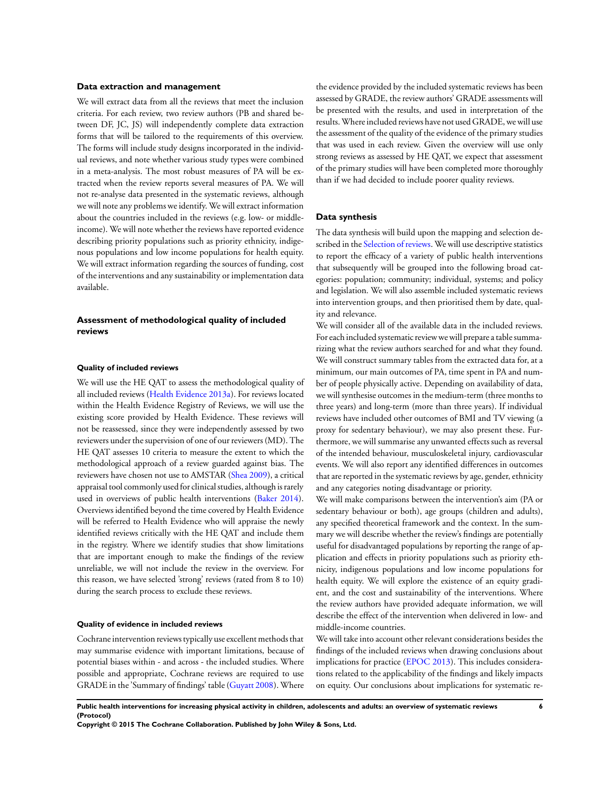#### **Data extraction and management**

We will extract data from all the reviews that meet the inclusion criteria. For each review, two review authors (PB and shared between DF, JC, JS) will independently complete data extraction forms that will be tailored to the requirements of this overview. The forms will include study designs incorporated in the individual reviews, and note whether various study types were combined in a meta-analysis. The most robust measures of PA will be extracted when the review reports several measures of PA. We will not re-analyse data presented in the systematic reviews, although we will note any problems we identify. We will extract information about the countries included in the reviews (e.g. low- or middleincome). We will note whether the reviews have reported evidence describing priority populations such as priority ethnicity, indigenous populations and low income populations for health equity. We will extract information regarding the sources of funding, cost of the interventions and any sustainability or implementation data available.

## **Assessment of methodological quality of included reviews**

#### **Quality of included reviews**

We will use the HE QAT to assess the methodological quality of all included reviews [\(Health Evidence 2013a\)](#page-8-0). For reviews located within the Health Evidence Registry of Reviews, we will use the existing score provided by Health Evidence. These reviews will not be reassessed, since they were independently assessed by two reviewers under the supervision of one of our reviewers (MD). The HE QAT assesses 10 criteria to measure the extent to which the methodological approach of a review guarded against bias. The reviewers have chosen not use to AMSTAR ([Shea 2009](#page-8-0)), a critical appraisal tool commonly used for clinical studies, although is rarely used in overviews of public health interventions ([Baker 2014](#page-8-0)). Overviews identified beyond the time covered by Health Evidence will be referred to Health Evidence who will appraise the newly identified reviews critically with the HE QAT and include them in the registry. Where we identify studies that show limitations that are important enough to make the findings of the review unreliable, we will not include the review in the overview. For this reason, we have selected 'strong' reviews (rated from 8 to 10) during the search process to exclude these reviews.

#### **Quality of evidence in included reviews**

Cochrane intervention reviews typically use excellent methods that may summarise evidence with important limitations, because of potential biases within - and across - the included studies. Where possible and appropriate, Cochrane reviews are required to use GRADE in the 'Summary of findings' table [\(Guyatt 2008](#page-8-0)). Where

the evidence provided by the included systematic reviews has been assessed by GRADE, the review authors' GRADE assessments will be presented with the results, and used in interpretation of the results.Where included reviews have not used GRADE, we will use the assessment of the quality of the evidence of the primary studies that was used in each review. Given the overview will use only strong reviews as assessed by HE QAT, we expect that assessment of the primary studies will have been completed more thoroughly than if we had decided to include poorer quality reviews.

## **Data synthesis**

The data synthesis will build upon the mapping and selection de-scribed in the [Selection of reviews.](#page-2-0) We will use descriptive statistics to report the efficacy of a variety of public health interventions that subsequently will be grouped into the following broad categories: population; community; individual, systems; and policy and legislation. We will also assemble included systematic reviews into intervention groups, and then prioritised them by date, quality and relevance.

We will consider all of the available data in the included reviews. For each included systematic review we will prepare a table summarizing what the review authors searched for and what they found. We will construct summary tables from the extracted data for, at a minimum, our main outcomes of PA, time spent in PA and number of people physically active. Depending on availability of data, we will synthesise outcomes in the medium-term (three months to three years) and long-term (more than three years). If individual reviews have included other outcomes of BMI and TV viewing (a proxy for sedentary behaviour), we may also present these. Furthermore, we will summarise any unwanted effects such as reversal of the intended behaviour, musculoskeletal injury, cardiovascular events. We will also report any identified differences in outcomes that are reported in the systematic reviews by age, gender, ethnicity and any categories noting disadvantage or priority.

We will make comparisons between the intervention's aim (PA or sedentary behaviour or both), age groups (children and adults), any specified theoretical framework and the context. In the summary we will describe whether the review's findings are potentially useful for disadvantaged populations by reporting the range of application and effects in priority populations such as priority ethnicity, indigenous populations and low income populations for health equity. We will explore the existence of an equity gradient, and the cost and sustainability of the interventions. Where the review authors have provided adequate information, we will describe the effect of the intervention when delivered in low- and middle-income countries.

We will take into account other relevant considerations besides the findings of the included reviews when drawing conclusions about implications for practice ([EPOC 2013\)](http://onlinelibrary.wiley.com/doi/10.1002/14651858.CD011083/full#CD011083-bbs2-0001). This includes considerations related to the applicability of the findings and likely impacts on equity. Our conclusions about implications for systematic re-

**Public health interventions for increasing physical activity in children, adolescents and adults: an overview of systematic reviews 6 (Protocol)**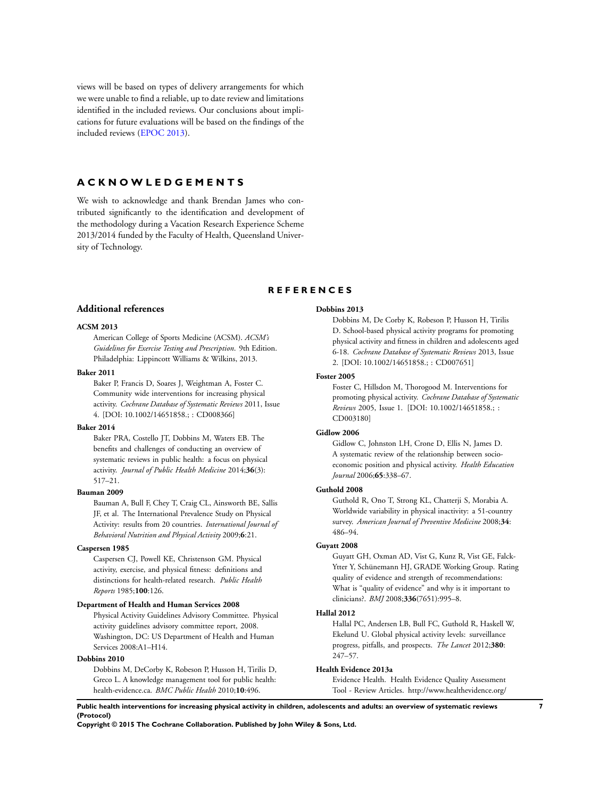<span id="page-8-0"></span>views will be based on types of delivery arrangements for which we were unable to find a reliable, up to date review and limitations identified in the included reviews. Our conclusions about implications for future evaluations will be based on the findings of the included reviews ([EPOC 2013](http://onlinelibrary.wiley.com/doi/10.1002/14651858.CD011083/full#CD011083-bbs2-0001)).

# **A C K N O W L E D G E M E N T S**

We wish to acknowledge and thank Brendan James who contributed significantly to the identification and development of the methodology during a Vacation Research Experience Scheme 2013/2014 funded by the Faculty of Health, Queensland University of Technology.

## **R E F E R E N C E S**

## **Additional references**

#### **ACSM 2013**

American College of Sports Medicine (ACSM). *ACSM's Guidelines for Exercise Testing and Prescription*. 9th Edition. Philadelphia: Lippincott Williams & Wilkins, 2013.

## **Baker 2011**

Baker P, Francis D, Soares J, Weightman A, Foster C. Community wide interventions for increasing physical activity. *Cochrane Database of Systematic Reviews* 2011, Issue 4. [DOI: 10.1002/14651858.; : CD008366]

## **Baker 2014**

Baker PRA, Costello JT, Dobbins M, Waters EB. The benefits and challenges of conducting an overview of systematic reviews in public health: a focus on physical activity. *Journal of Public Health Medicine* 2014;**36**(3): 517–21.

#### **Bauman 2009**

Bauman A, Bull F, Chey T, Craig CL, Ainsworth BE, Sallis JF, et al. The International Prevalence Study on Physical Activity: results from 20 countries. *International Journal of Behavioral Nutrition and Physical Activity* 2009;**6**:21.

#### **Caspersen 1985**

Caspersen CJ, Powell KE, Christenson GM. Physical activity, exercise, and physical fitness: definitions and distinctions for health-related research. *Public Health Reports* 1985;**100**:126.

#### **Department of Health and Human Services 2008**

Physical Activity Guidelines Advisory Committee. Physical activity guidelines advisory committee report, 2008. Washington, DC: US Department of Health and Human Services 2008:A1–H14.

#### **Dobbins 2010**

Dobbins M, DeCorby K, Robeson P, Husson H, Tirilis D, Greco L. A knowledge management tool for public health: health-evidence.ca. *BMC Public Health* 2010;**10**:496.

## **Dobbins 2013**

Dobbins M, De Corby K, Robeson P, Husson H, Tirilis D. School-based physical activity programs for promoting physical activity and fitness in children and adolescents aged 6-18. *Cochrane Database of Systematic Reviews* 2013, Issue 2. [DOI: 10.1002/14651858.; : CD007651]

## **Foster 2005**

Foster C, Hillsdon M, Thorogood M. Interventions for promoting physical activity. *Cochrane Database of Systematic Reviews* 2005, Issue 1. [DOI: 10.1002/14651858.; : CD003180]

## **Gidlow 2006**

Gidlow C, Johnston LH, Crone D, Ellis N, James D. A systematic review of the relationship between socioeconomic position and physical activity. *Health Education Journal* 2006;**65**:338–67.

#### **Guthold 2008**

Guthold R, Ono T, Strong KL, Chatterji S, Morabia A. Worldwide variability in physical inactivity: a 51-country survey. *American Journal of Preventive Medicine* 2008;**34**: 486–94.

#### **Guyatt 2008**

Guyatt GH, Oxman AD, Vist G, Kunz R, Vist GE, Falck-Ytter Y, Schünemann HJ, GRADE Working Group. Rating quality of evidence and strength of recommendations: What is "quality of evidence" and why is it important to clinicians?. *BMJ* 2008;**336**(7651):995–8.

#### **Hallal 2012**

Hallal PC, Andersen LB, Bull FC, Guthold R, Haskell W, Ekelund U. Global physical activity levels: surveillance progress, pitfalls, and prospects. *The Lancet* 2012;**380**: 247–57.

## **Health Evidence 2013a**

Evidence Health. Health Evidence Quality Assessment Tool - Review Articles. http://www.healthevidence.org/

**Public health interventions for increasing physical activity in children, adolescents and adults: an overview of systematic reviews 7 (Protocol)**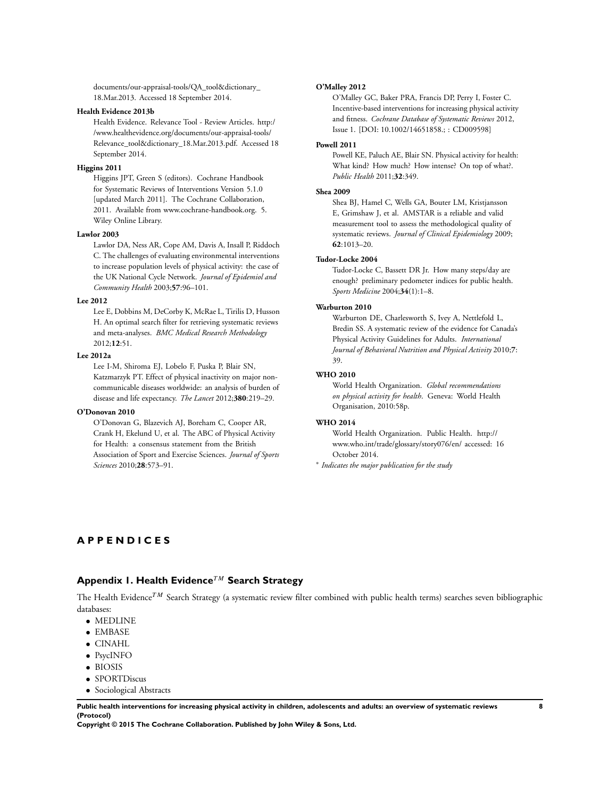<span id="page-9-0"></span>documents/our-appraisal-tools/QA\_tool&dictionary\_ 18.Mar.2013. Accessed 18 September 2014.

## **Health Evidence 2013b**

Health Evidence. Relevance Tool - Review Articles. http:/ /www.healthevidence.org/documents/our-appraisal-tools/ Relevance\_tool&dictionary\_18.Mar.2013.pdf. Accessed 18 September 2014.

## **Higgins 2011**

Higgins JPT, Green S (editors). Cochrane Handbook for Systematic Reviews of Interventions Version 5.1.0 [updated March 2011]. The Cochrane Collaboration, 2011. Available from www.cochrane-handbook.org. 5. Wiley Online Library.

#### **Lawlor 2003**

Lawlor DA, Ness AR, Cope AM, Davis A, Insall P, Riddoch C. The challenges of evaluating environmental interventions to increase population levels of physical activity: the case of the UK National Cycle Network. *Journal of Epidemiol and Community Health* 2003;**57**:96–101.

#### **Lee 2012**

Lee E, Dobbins M, DeCorby K, McRae L, Tirilis D, Husson H. An optimal search filter for retrieving systematic reviews and meta-analyses. *BMC Medical Research Methodology* 2012;**12**:51.

#### **Lee 2012a**

Lee I-M, Shiroma EJ, Lobelo F, Puska P, Blair SN, Katzmarzyk PT. Effect of physical inactivity on major noncommunicable diseases worldwide: an analysis of burden of disease and life expectancy. *The Lancet* 2012;**380**:219–29.

## **O'Donovan 2010**

O'Donovan G, Blazevich AJ, Boreham C, Cooper AR, Crank H, Ekelund U, et al. The ABC of Physical Activity for Health: a consensus statement from the British Association of Sport and Exercise Sciences. *Journal of Sports Sciences* 2010;**28**:573–91.

#### **O'Malley 2012**

O'Malley GC, Baker PRA, Francis DP, Perry I, Foster C. Incentive-based interventions for increasing physical activity and fitness. *Cochrane Database of Systematic Reviews* 2012, Issue 1. [DOI: 10.1002/14651858.; : CD009598]

## **Powell 2011**

Powell KE, Paluch AE, Blair SN. Physical activity for health: What kind? How much? How intense? On top of what?. *Public Health* 2011;**32**:349.

#### **Shea 2009**

Shea BJ, Hamel C, Wells GA, Bouter LM, Kristjansson E, Grimshaw J, et al. AMSTAR is a reliable and valid measurement tool to assess the methodological quality of systematic reviews. *Journal of Clinical Epidemiology* 2009; **62**:1013–20.

#### **Tudor-Locke 2004**

Tudor-Locke C, Bassett DR Jr. How many steps/day are enough? preliminary pedometer indices for public health. *Sports Medicine* 2004;**34**(1):1–8.

## **Warburton 2010**

Warburton DE, Charlesworth S, Ivey A, Nettlefold L, Bredin SS. A systematic review of the evidence for Canada's Physical Activity Guidelines for Adults. *International Journal of Behavioral Nutrition and Physical Activity* 2010;**7**: 39.

#### **WHO 2010**

World Health Organization. *Global recommendations on physical activity for health*. Geneva: World Health Organisation, 2010:58p.

#### **WHO 2014**

World Health Organization. Public Health. http:// www.who.int/trade/glossary/story076/en/ accessed: 16 October 2014.

∗ *Indicates the major publication for the study*

# **A P P E N D I C E S**

# **Appendix 1. Health Evidence**TM **Search Strategy**

The Health Evidence<sup>TM</sup> Search Strategy (a systematic review filter combined with public health terms) searches seven bibliographic databases:

- MEDLINE
- EMBASE
- CINAHL
- PsycINFO
- BIOSIS
- SPORTDiscus
- Sociological Abstracts

**Public health interventions for increasing physical activity in children, adolescents and adults: an overview of systematic reviews 8 (Protocol)**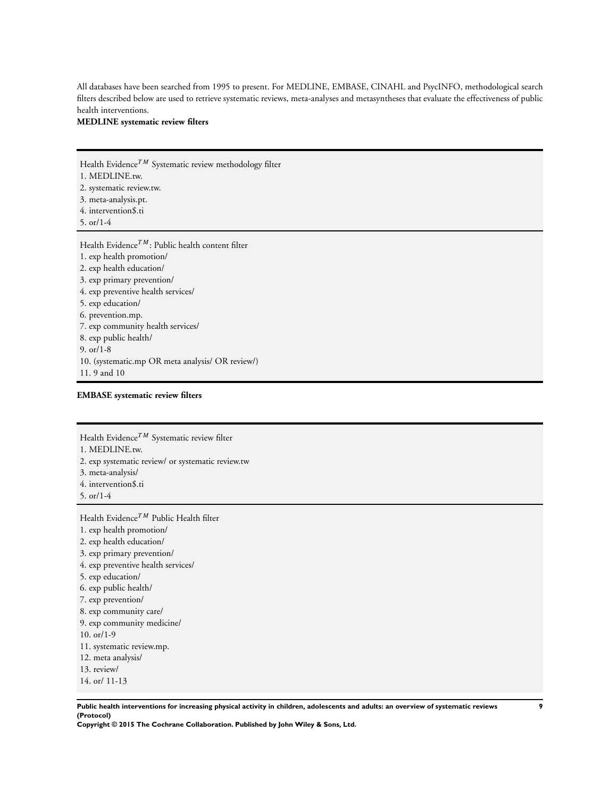All databases have been searched from 1995 to present. For MEDLINE, EMBASE, CINAHL and PsycINFO, methodological search filters described below are used to retrieve systematic reviews, meta-analyses and metasyntheses that evaluate the effectiveness of public health interventions.

## **MEDLINE systematic review filters**

Health Evidence<sup>TM</sup> Systematic review methodology filter

1. MEDLINE.tw.

2. systematic review.tw.

- 3. meta-analysis.pt.
- 4. intervention\$.ti

5. or/1-4

Health Evidence<sup>TM</sup>: Public health content filter

- 1. exp health promotion/
- 2. exp health education/
- 3. exp primary prevention/
- 4. exp preventive health services/
- 5. exp education/
- 6. prevention.mp.
- 7. exp community health services/
- 8. exp public health/
- 9. or/1-8
- 10. (systematic.mp OR meta analysis/ OR review/)
- 11. 9 and 10

## **EMBASE systematic review filters**

Health Evidence<sup>TM</sup> Systematic review filter

- 1. MEDLINE.tw.
- 2. exp systematic review/ or systematic review.tw
- 3. meta-analysis/
- 4. intervention\$.ti
- 5. or/1-4

Health Evidence<sup>TM</sup> Public Health filter

- 1. exp health promotion/
- 2. exp health education/
- 3. exp primary prevention/
- 4. exp preventive health services/
- 5. exp education/
- 6. exp public health/
- 7. exp prevention/
- 8. exp community care/
- 9. exp community medicine/
- 10. or/1-9
- 11. systematic review.mp.
- 12. meta analysis/
- 13. review/
- 14. or/ 11-13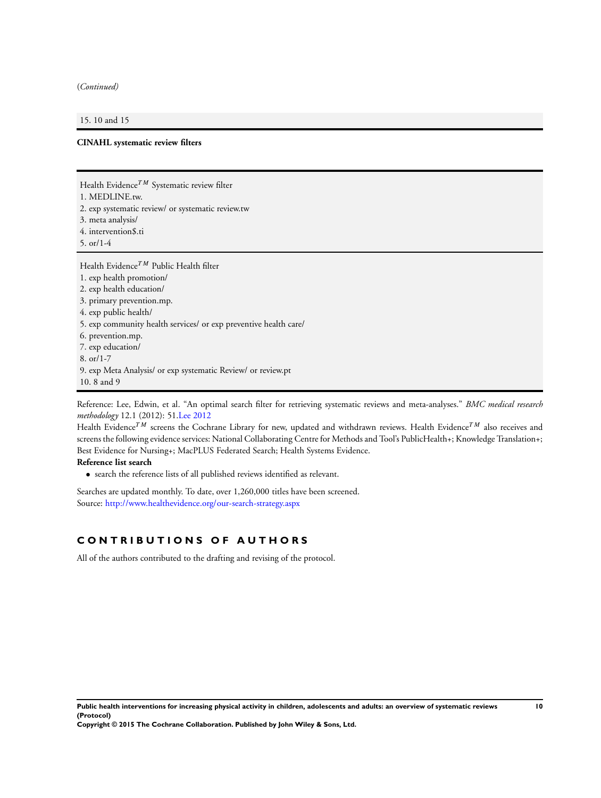(*Continued)*

15. 10 and 15

## **CINAHL systematic review filters**

Health Evidence<sup>TM</sup> Systematic review filter 1. MEDLINE.tw. 2. exp systematic review/ or systematic review.tw 3. meta analysis/ 4. intervention\$.ti 5. or/1-4 Health Evidence<sup>TM</sup> Public Health filter 1. exp health promotion/ 2. exp health education/ 3. primary prevention.mp. 4. exp public health/ 5. exp community health services/ or exp preventive health care/ 6. prevention.mp. 7. exp education/ 8. or/1-7 9. exp Meta Analysis/ or exp systematic Review/ or review.pt 10. 8 and 9

Reference: Lee, Edwin, et al. "An optimal search filter for retrieving systematic reviews and meta-analyses." *BMC medical research methodology* 12.1 (2012): 51.[Lee 2012](#page-8-0)

Health Evidence<sup>TM</sup> screens the Cochrane Library for new, updated and withdrawn reviews. Health Evidence<sup>TM</sup> also receives and screens the following evidence services: National Collaborating Centre for Methods and Tool's PublicHealth+; Knowledge Translation+; Best Evidence for Nursing+; MacPLUS Federated Search; Health Systems Evidence.

#### **Reference list search**

• search the reference lists of all published reviews identified as relevant.

Searches are updated monthly. To date, over 1,260,000 titles have been screened. Source: <http://www.healthevidence.org/our-search-strategy.aspx>

# **C O N T R I B U T I O N S O F A U T H O R S**

All of the authors contributed to the drafting and revising of the protocol.